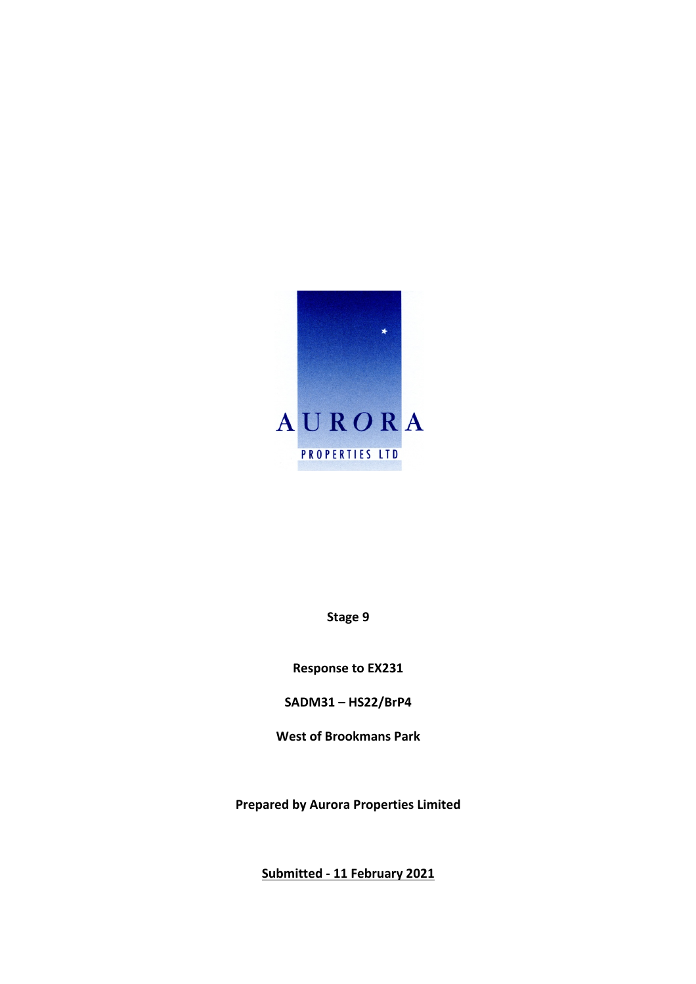

**Stage 9**

**Response to EX231**

**SADM31 – HS22/BrP4**

**West of Brookmans Park**

**Prepared by Aurora Properties Limited**

**Submitted - 11 February 2021**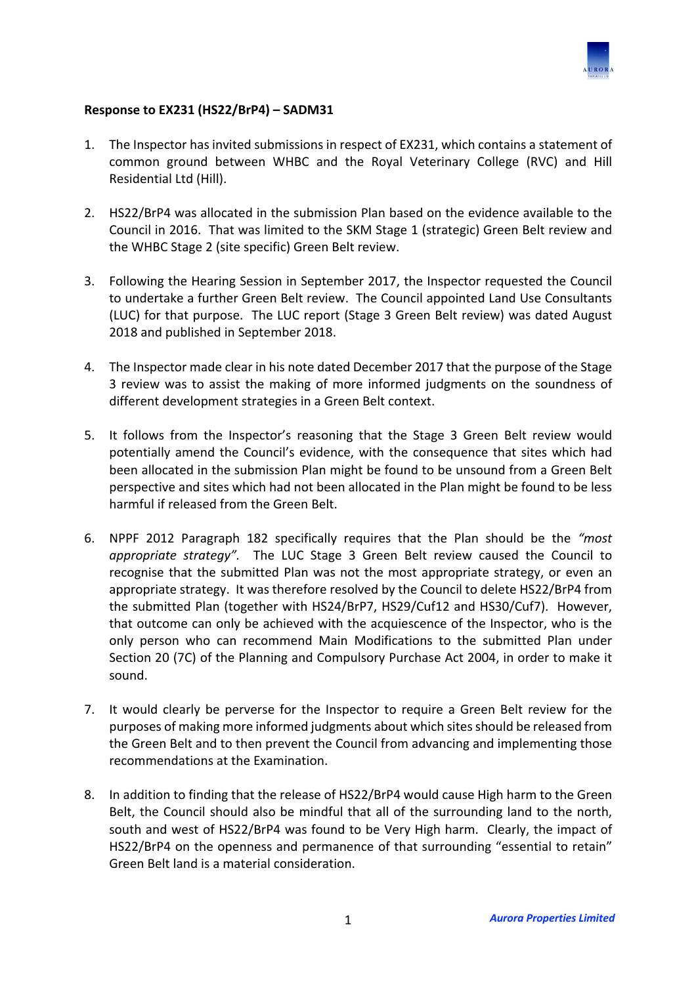

## **Response to EX231 (HS22/BrP4) – SADM31**

- 1. The Inspector has invited submissions in respect of EX231, which contains a statement of common ground between WHBC and the Royal Veterinary College (RVC) and Hill Residential Ltd (Hill).
- 2. HS22/BrP4 was allocated in the submission Plan based on the evidence available to the Council in 2016. That was limited to the SKM Stage 1 (strategic) Green Belt review and the WHBC Stage 2 (site specific) Green Belt review.
- 3. Following the Hearing Session in September 2017, the Inspector requested the Council to undertake a further Green Belt review. The Council appointed Land Use Consultants (LUC) for that purpose. The LUC report (Stage 3 Green Belt review) was dated August 2018 and published in September 2018.
- 4. The Inspector made clear in his note dated December 2017 that the purpose of the Stage 3 review was to assist the making of more informed judgments on the soundness of different development strategies in a Green Belt context.
- 5. It follows from the Inspector's reasoning that the Stage 3 Green Belt review would potentially amend the Council's evidence, with the consequence that sites which had been allocated in the submission Plan might be found to be unsound from a Green Belt perspective and sites which had not been allocated in the Plan might be found to be less harmful if released from the Green Belt.
- 6. NPPF 2012 Paragraph 182 specifically requires that the Plan should be the *"most appropriate strategy".* The LUC Stage 3 Green Belt review caused the Council to recognise that the submitted Plan was not the most appropriate strategy, or even an appropriate strategy. It was therefore resolved by the Council to delete HS22/BrP4 from the submitted Plan (together with HS24/BrP7, HS29/Cuf12 and HS30/Cuf7). However. that outcome can only be achieved with the acquiescence of the Inspector, who is the only person who can recommend Main Modifications to the submitted Plan under Section 20 (7C) of the Planning and Compulsory Purchase Act 2004, in order to make it sound.
- 7. It would clearly be perverse for the Inspector to require a Green Belt review for the purposes of making more informed judgments about which sites should be released from the Green Belt and to then prevent the Council from advancing and implementing those recommendations at the Examination.
- 8. In addition to finding that the release of HS22/BrP4 would cause High harm to the Green Belt, the Council should also be mindful that all of the surrounding land to the north, south and west of HS22/BrP4 was found to be Very High harm. Clearly, the impact of HS22/BrP4 on the openness and permanence of that surrounding "essential to retain" Green Belt land is a material consideration.